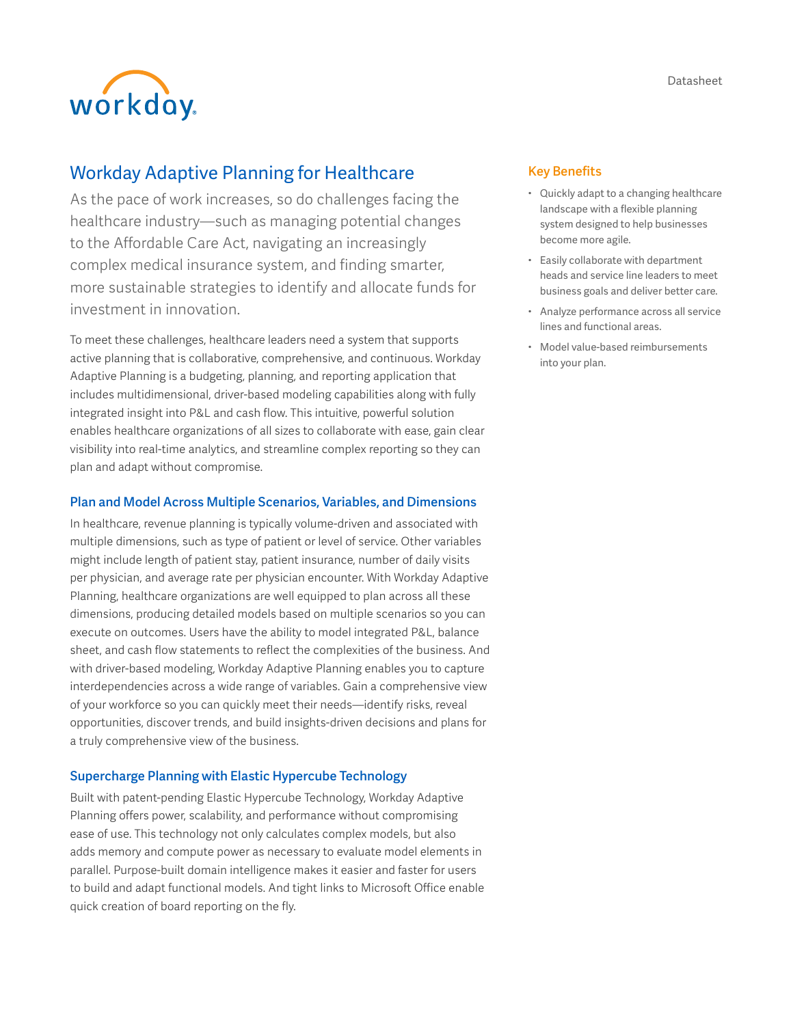workday.

# Workday Adaptive Planning for Healthcare

As the pace of work increases, so do challenges facing the healthcare industry—such as managing potential changes to the Affordable Care Act, navigating an increasingly complex medical insurance system, and finding smarter, more sustainable strategies to identify and allocate funds for investment in innovation.

To meet these challenges, healthcare leaders need a system that supports active planning that is collaborative, comprehensive, and continuous. Workday Adaptive Planning is a budgeting, planning, and reporting application that includes multidimensional, driver-based modeling capabilities along with fully integrated insight into P&L and cash flow. This intuitive, powerful solution enables healthcare organizations of all sizes to collaborate with ease, gain clear visibility into real-time analytics, and streamline complex reporting so they can plan and adapt without compromise.

# Plan and Model Across Multiple Scenarios, Variables, and Dimensions

In healthcare, revenue planning is typically volume-driven and associated with multiple dimensions, such as type of patient or level of service. Other variables might include length of patient stay, patient insurance, number of daily visits per physician, and average rate per physician encounter. With Workday Adaptive Planning, healthcare organizations are well equipped to plan across all these dimensions, producing detailed models based on multiple scenarios so you can execute on outcomes. Users have the ability to model integrated P&L, balance sheet, and cash flow statements to reflect the complexities of the business. And with driver-based modeling, Workday Adaptive Planning enables you to capture interdependencies across a wide range of variables. Gain a comprehensive view of your workforce so you can quickly meet their needs—identify risks, reveal opportunities, discover trends, and build insights-driven decisions and plans for a truly comprehensive view of the business.

# Supercharge Planning with Elastic Hypercube Technology

Built with patent-pending Elastic Hypercube Technology, Workday Adaptive Planning offers power, scalability, and performance without compromising ease of use. This technology not only calculates complex models, but also adds memory and compute power as necessary to evaluate model elements in parallel. Purpose-built domain intelligence makes it easier and faster for users to build and adapt functional models. And tight links to Microsoft Office enable quick creation of board reporting on the fly.

# Key Benefits

- Quickly adapt to a changing healthcare landscape with a flexible planning system designed to help businesses become more agile.
- Easily collaborate with department heads and service line leaders to meet business goals and deliver better care.
- Analyze performance across all service lines and functional areas.
- Model value-based reimbursements into your plan.